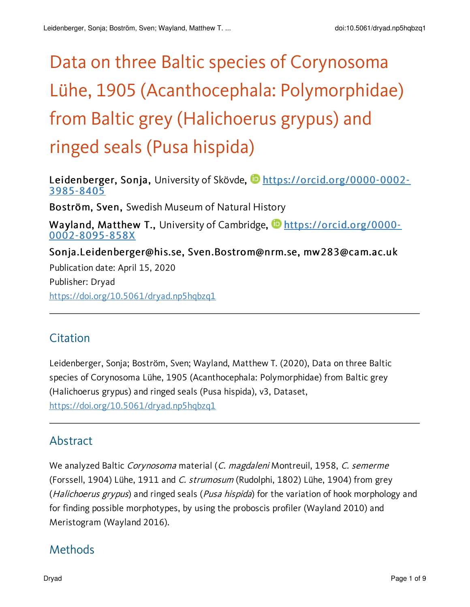# Data on three Baltic species of Corynosoma Lühe, 1905 (Acanthocephala: Polymorphidae) from Baltic grey (Halichoerus grypus) and ringed seals (Pusa hispida)

Leidenberger, Sonja, University of Skövde, **b**[https://orcid.org/0000-0002-](https://orcid.org/0000-0002-3985-8405) 3985-8405 Boström, Sven, Swedish Museum of Natural History Wayland, Matthew T., University of Cambridge, **[https://orcid.org/0000-](https://orcid.org/0000-0002-8095-858X)** 0002-8095-858X Sonja.Leidenberger@his.se, Sven.Bostrom@nrm.se, mw283@cam.ac.uk Publication date: April 15, 2020 Publisher: Dryad <https://doi.org/10.5061/dryad.np5hqbzq1>

# **Citation**

Leidenberger, Sonja; Boström, Sven; Wayland, Matthew T. (2020), Data on three Baltic species of Corynosoma Lühe, 1905 (Acanthocephala: Polymorphidae) from Baltic grey (Halichoerus grypus) and ringed seals (Pusa hispida), v3, Dataset, <https://doi.org/10.5061/dryad.np5hqbzq1>

# Abstract

We analyzed Baltic Corynosoma material (C. magdaleni Montreuil, 1958, C. semerme (Forssell, 1904) Lühe, 1911 and C. strumosum (Rudolphi, 1802) Lühe, 1904) from grey (*Halichoerus grypus*) and ringed seals (*Pusa hispida*) for the variation of hook morphology and for finding possible morphotypes, by using the proboscis profiler (Wayland 2010) and Meristogram (Wayland 2016).

# Methods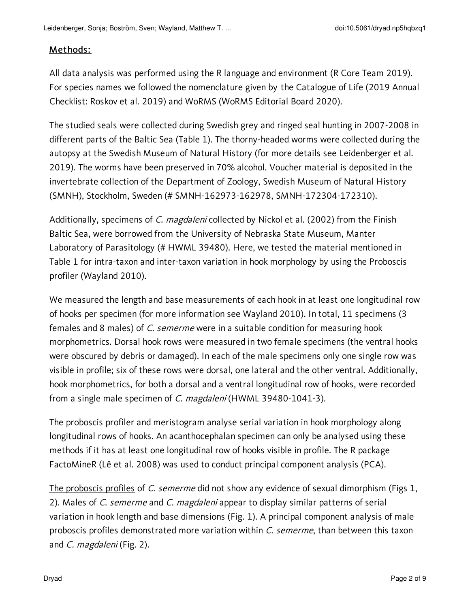#### Methods:

All data analysis was performed using the R language and environment (R Core Team 2019). For species names we followed the nomenclature given by the Catalogue of Life (2019 Annual Checklist: Roskov et al. 2019) and WoRMS (WoRMS Editorial Board 2020).

The studied seals were collected during Swedish grey and ringed seal hunting in 2007-2008 in different parts of the Baltic Sea (Table 1). The thorny-headed worms were collected during the autopsy at the Swedish Museum of Natural History (for more details see Leidenberger et al. 2019). The worms have been preserved in 70% alcohol. Voucher material is deposited in the invertebrate collection of the Department of Zoology, Swedish Museum of Natural History (SMNH), Stockholm, Sweden (# SMNH-162973-162978, SMNH-172304-172310).

Additionally, specimens of C. magdaleni collected by Nickol et al. (2002) from the Finish Baltic Sea, were borrowed from the University of Nebraska State Museum, Manter Laboratory of Parasitology (# HWML 39480). Here, we tested the material mentioned in Table 1 for intra-taxon and inter-taxon variation in hook morphology by using the Proboscis profiler (Wayland 2010).

We measured the length and base measurements of each hook in at least one longitudinal row of hooks per specimen (for more information see Wayland 2010). In total, 11 specimens (3 females and 8 males) of C. semerme were in a suitable condition for measuring hook morphometrics. Dorsal hook rows were measured in two female specimens (the ventral hooks were obscured by debris or damaged). In each of the male specimens only one single row was visible in profile; six of these rows were dorsal, one lateral and the other ventral. Additionally, hook morphometrics, for both a dorsal and a ventral longitudinal row of hooks, were recorded from a single male specimen of C. magdaleni (HWML 39480-1041-3).

The proboscis profiler and meristogram analyse serial variation in hook morphology along longitudinal rows of hooks. An acanthocephalan specimen can only be analysed using these methods if it has at least one longitudinal row of hooks visible in profile. The R package FactoMineR (Lê et al. 2008) was used to conduct principal component analysis (PCA).

The proboscis profiles of C. semerme did not show any evidence of sexual dimorphism (Figs 1, 2). Males of C. semerme and C. magdaleni appear to display similar patterns of serial variation in hook length and base dimensions (Fig. 1). A principal component analysis of male proboscis profiles demonstrated more variation within C. semerme, than between this taxon and C. magdaleni (Fig. 2).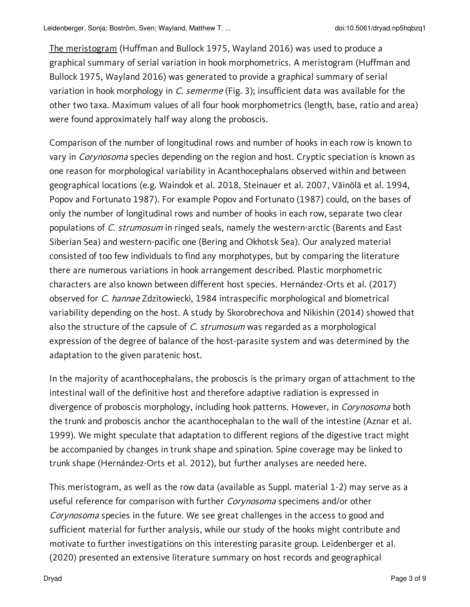The meristogram (Huffman and Bullock 1975, Wayland 2016) was used to produce a graphical summary of serial variation in hook morphometrics. A meristogram (Huffman and Bullock 1975, Wayland 2016) was generated to provide a graphical summary of serial variation in hook morphology in C. semerme (Fig. 3); insufficient data was available for the other two taxa. Maximum values of all four hook morphometrics (length, base, ratio and area) were found approximately half way along the proboscis.

Comparison of the number of longitudinal rows and number of hooks in each row is known to vary in *Corynosoma* species depending on the region and host. Cryptic speciation is known as one reason for morphological variability in Acanthocephalans observed within and between geographical locations (e.g. Waindok et al. 2018, Steinauer et al. 2007, Väinölä et al. 1994, Popov and Fortunato 1987). For example Popov and Fortunato (1987) could, on the bases of only the number of longitudinal rows and number of hooks in each row, separate two clear populations of C. strumosum in ringed seals, namely the western-arctic (Barents and East Siberian Sea) and western-pacific one (Bering and Okhotsk Sea). Our analyzed material consisted of too few individuals to find any morphotypes, but by comparing the literature there are numerous variations in hook arrangement described. Plastic morphometric characters are also known between different host species. Hernández-Orts et al. (2017) observed for C. hannae Zdzitowiecki, 1984 intraspecific morphological and biometrical variability depending on the host. A study by Skorobrechova and Nikishin (2014) showed that also the structure of the capsule of C. strumosum was regarded as a morphological expression of the degree of balance of the host-parasite system and was determined by the adaptation to the given paratenic host.

In the majority of acanthocephalans, the proboscis is the primary organ of attachment to the intestinal wall of the definitive host and therefore adaptive radiation is expressed in divergence of proboscis morphology, including hook patterns. However, in *Corynosoma* both the trunk and proboscis anchor the acanthocephalan to the wall of the intestine (Aznar et al. 1999). We might speculate that adaptation to different regions of the digestive tract might be accompanied by changes in trunk shape and spination. Spine coverage may be linked to trunk shape (Hernández-Orts et al. 2012), but further analyses are needed here.

This meristogram, as well as the row data (available as Suppl. material 1-2) may serve as a useful reference for comparison with further Corynosoma specimens and/or other Corynosoma species in the future. We see great challenges in the access to good and sufficient material for further analysis, while our study of the hooks might contribute and motivate to further investigations on this interesting parasite group. Leidenberger et al. (2020) presented an extensive literature summary on host records and geographical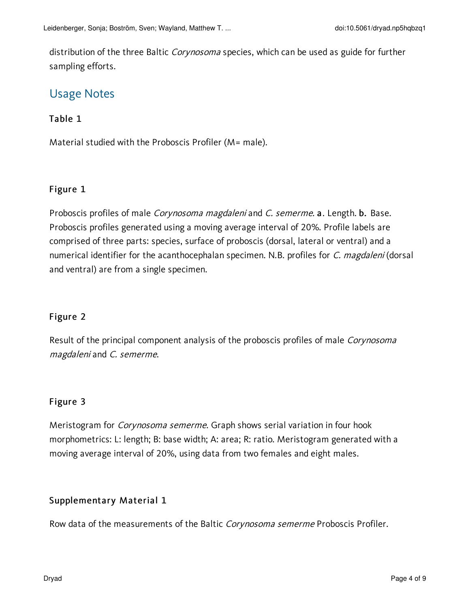distribution of the three Baltic *Corynosoma* species, which can be used as guide for further sampling efforts.

# Usage Notes

## Table 1

Material studied with the Proboscis Profiler (M= male).

## Figure 1

Proboscis profiles of male Corynosoma magdaleni and C. semerme. a. Length. b. Base. Proboscis profiles generated using a moving average interval of 20%. Profile labels are comprised of three parts: species, surface of proboscis (dorsal, lateral or ventral) and a numerical identifier for the acanthocephalan specimen. N.B. profiles for C. magdaleni (dorsal and ventral) are from a single specimen.

## Figure 2

Result of the principal component analysis of the proboscis profiles of male Corynosoma magdaleni and C. semerme.

## Figure 3

Meristogram for Corynosoma semerme. Graph shows serial variation in four hook morphometrics: L: length; B: base width; A: area; R: ratio. Meristogram generated with a moving average interval of 20%, using data from two females and eight males.

## Supplementary Material 1

Row data of the measurements of the Baltic Corynosoma semerme Proboscis Profiler.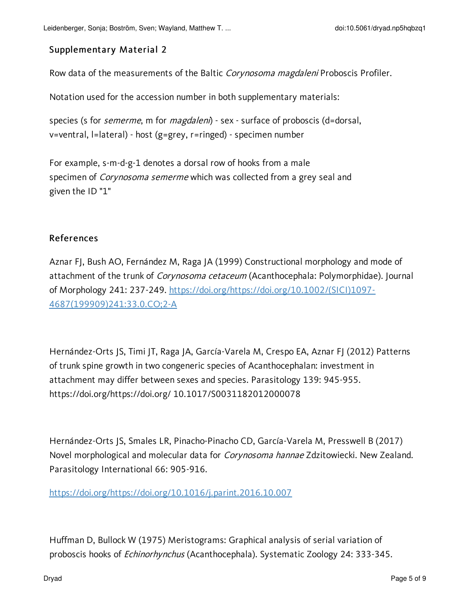#### Supplementary Material 2

Row data of the measurements of the Baltic Corynosoma magdaleni Proboscis Profiler.

Notation used for the accession number in both supplementary materials:

species (s for *semerme*, m for *magdaleni*) - sex - surface of proboscis (d=dorsal, v=ventral, l=lateral) - host (g=grey, r=ringed) - specimen number

For example, s-m-d-g-1 denotes a dorsal row of hooks from a male specimen of *Corynosoma semerme* which was collected from a grey seal and given the ID "1"

#### References

Aznar FJ, Bush AO, Fernández M, Raga JA (1999) Constructional morphology and mode of attachment of the trunk of *Corynosoma cetaceum* (Acanthocephala: Polymorphidae). Journal of Morphology 241: 237-249. [https://doi.org/https://doi.org/10.1002/\(SICI\)1097-](https://doi.org/https:/doi.org/10.1002/(SICI)1097-4687(199909)241:33.0.CO;2-A) 4687(199909)241:33.0.CO;2-A

Hernández-Orts JS, Timi JT, Raga JA, García-Varela M, Crespo EA, Aznar FJ (2012) Patterns of trunk spine growth in two congeneric species of Acanthocephalan: investment in attachment may differ between sexes and species. Parasitology 139: 945-955. https://doi.org/https://doi.org/ 10.1017/S0031182012000078

Hernández-Orts JS, Smales LR, Pinacho-Pinacho CD, García-Varela M, Presswell B (2017) Novel morphological and molecular data for *Corynosoma hannae* Zdzitowiecki. New Zealand. Parasitology International 66: 905-916.

[https://doi.org/https://doi.org/10.1016/j.parint.2016.10.007](https://doi.org/https:/doi.org/10.1016/j.parint.2016.10.007)

Huffman D, Bullock W (1975) Meristograms: Graphical analysis of serial variation of proboscis hooks of *Echinorhynchus* (Acanthocephala). Systematic Zoology 24: 333-345.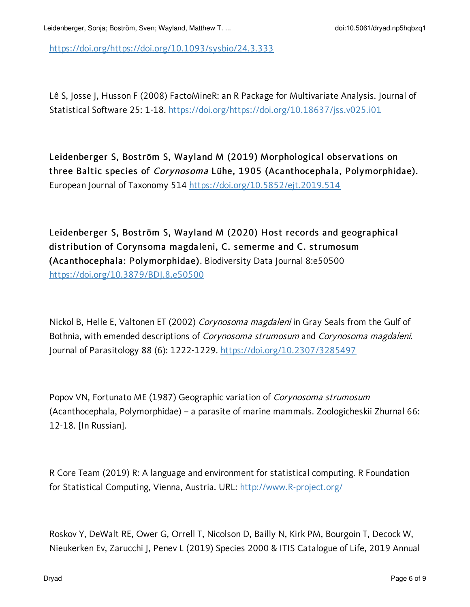[https://doi.org/https://doi.org/10.1093/sysbio/24.3.333](https://doi.org/https:/doi.org/10.1093/sysbio/24.3.333)

Lê S, Josse J, Husson F (2008) FactoMineR: an R Package for Multivariate Analysis. Journal of Statistical Software 25: 1-18. [https://doi.org/https://doi.org/10.18637/jss.v025.i01](https://doi.org/https:/doi.org/10.18637/jss.v025.i01)

Leidenberger S, Boström S, Wayland M (2019) Morphological observations on three Baltic species of Corynosoma Lühe, 1905 (Acanthocephala, Polymorphidae). European Journal of Taxonomy 514 <https://doi.org/10.5852/ejt.2019.514>

Leidenberger S, Boström S, Wayland M (2020) Host records and geographical distribution of Corynsoma magdaleni, C. semerme and C. strumosum (Acanthocephala: Polymorphidae). Biodiversity Data Journal 8:e50500 <https://doi.org/10.3879/BDJ.8.e50500>

Nickol B, Helle E, Valtonen ET (2002) Corynosoma magdaleni in Gray Seals from the Gulf of Bothnia, with emended descriptions of Corynosoma strumosum and Corynosoma magdaleni. Journal of Parasitology 88 (6): 1222-1229. <https://doi.org/10.2307/3285497>

Popov VN, Fortunato ME (1987) Geographic variation of Corynosoma strumosum (Acanthocephala, Polymorphidae) – a parasite of marine mammals. Zoologicheskii Zhurnal 66: 12-18. [In Russian].

R Core Team (2019) R: A language and environment for statistical computing. R Foundation for Statistical Computing, Vienna, Austria. URL: [http://www.R-project.org/](http://www.r-project.org/)

Roskov Y, DeWalt RE, Ower G, Orrell T, Nicolson D, Bailly N, Kirk PM, Bourgoin T, Decock W, Nieukerken Ev, Zarucchi J, Penev L (2019) Species 2000 & ITIS Catalogue of Life, 2019 Annual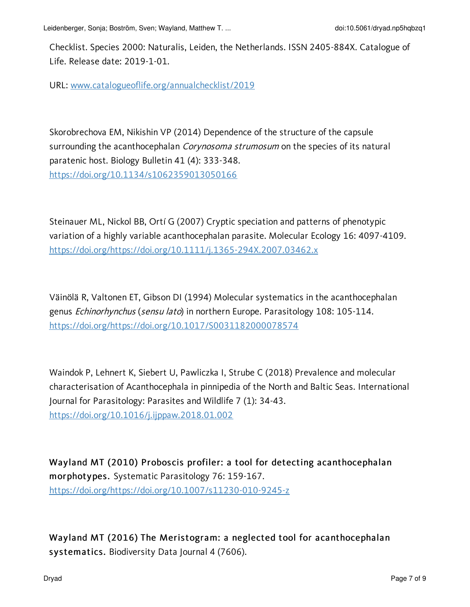Leidenberger, Sonja; Boström, Sven; Wayland, Matthew T. ... doi:10.5061/dryad.np5hqbzq1

Checklist. Species 2000: Naturalis, Leiden, the Netherlands. ISSN 2405-884X. Catalogue of Life. Release date: 2019-1-01.

URL: [www.catalogueoflife.org/annualchecklist/2019](http://www.catalogueoflife.org/annualchecklist/2019)

Skorobrechova EM, Nikishin VP (2014) Dependence of the structure of the capsule surrounding the acanthocephalan *Corynosoma strumosum* on the species of its natural paratenic host. Biology Bulletin 41 (4): 333-348. <https://doi.org/10.1134/s1062359013050166>

Steinauer ML, Nickol BB, Ortí G (2007) Cryptic speciation and patterns of phenotypic variation of a highly variable acanthocephalan parasite. Molecular Ecology 16: 4097-4109. [https://doi.org/https://doi.org/10.1111/j.1365-294X.2007.03462.x](https://doi.org/https:/doi.org/10.1111/j.1365-294X.2007.03462.x)

Väinölä R, Valtonen ET, Gibson DI (1994) Molecular systematics in the acanthocephalan genus Echinorhynchus (sensu lato) in northern Europe. Parasitology 108: 105-114. [https://doi.org/https://doi.org/10.1017/S0031182000078574](https://doi.org/https:/doi.org/10.1017/S0031182000078574)

Waindok P, Lehnert K, Siebert U, Pawliczka I, Strube C (2018) Prevalence and molecular characterisation of Acanthocephala in pinnipedia of the North and Baltic Seas. International Journal for Parasitology: Parasites and Wildlife 7 (1): 34-43. <https://doi.org/10.1016/j.ijppaw.2018.01.002>

Wayland MT (2010) Proboscis profiler: a tool for detecting acanthocephalan morphotypes. Systematic Parasitology 76: 159-167. [https://doi.org/https://doi.org/10.1007/s11230-010-9245-z](https://doi.org/https:/doi.org/10.1007/s11230-010-9245-z)

Wayland MT (2016) The Meristogram: a neglected tool for acanthocephalan systematics. Biodiversity Data Journal 4 (7606).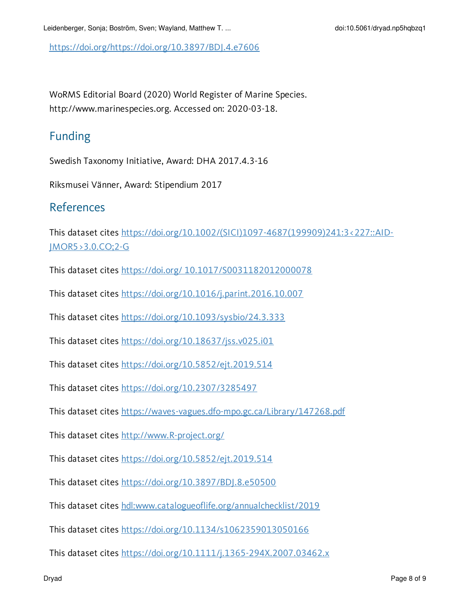[https://doi.org/https://doi.org/10.3897/BDJ.4.e7606](https://doi.org/https:/doi.org/10.3897/BDJ.4.e7606)

WoRMS Editorial Board (2020) World Register of Marine Species. http://www.marinespecies.org. Accessed on: 2020-03-18.

# Funding

Swedish Taxonomy Initiative, Award: DHA 2017.4.3-16

Riksmusei Vänner, Award: Stipendium 2017

## References

This dataset cites [https://doi.org/10.1002/\(SICI\)1097-4687\(199909\)241:3<227::AID-](https://doi.org/10.1002/(SICI)1097-4687(199909)241:3<227::AID-JMOR5>3.0.CO;2-G)JMOR5>3.0.CO;2-G

This dataset cites https://doi.org/ [10.1017/S0031182012000078](https://doi.org/ 10.1017/S0031182012000078)

This dataset cites <https://doi.org/10.1016/j.parint.2016.10.007>

This dataset cites <https://doi.org/10.1093/sysbio/24.3.333>

This dataset cites <https://doi.org/10.18637/jss.v025.i01>

This dataset cites <https://doi.org/10.5852/ejt.2019.514>

This dataset cites <https://doi.org/10.2307/3285497>

This dataset cites <https://waves-vagues.dfo-mpo.gc.ca/Library/147268.pdf>

This dataset cites [http://www.R-project.org/](http://www.r-project.org/)

This dataset cites <https://doi.org/10.5852/ejt.2019.514>

This dataset cites <https://doi.org/10.3897/BDJ.8.e50500>

This dataset cites [hdl:www.catalogueoflife.org/annualchecklist/2019](https://hdl.handle.net/www.catalogueoflife.org/annualchecklist/2019)

This dataset cites <https://doi.org/10.1134/s1062359013050166>

This dataset cites <https://doi.org/10.1111/j.1365-294X.2007.03462.x>